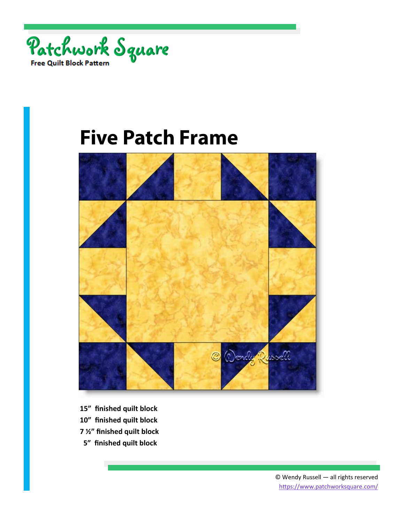



- **15" finished quilt block**
- **10" finished quilt block**
- **7 ½" finished quilt block**
- **5" finished quilt block**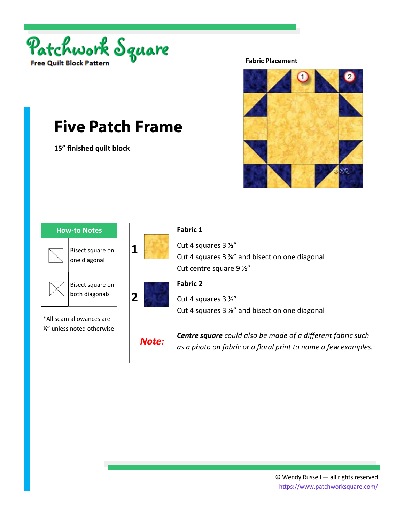

**15" finished quilt block** 



| <b>How-to Notes</b>                                     |                                    |
|---------------------------------------------------------|------------------------------------|
|                                                         | Bisect square on<br>one diagonal   |
|                                                         | Bisect square on<br>both diagonals |
| *All seam allowances are<br>1/4" unless noted otherwise |                                    |

|       | <b>Fabric 1</b>                                                                                                                      |
|-------|--------------------------------------------------------------------------------------------------------------------------------------|
|       | Cut 4 squares 3 1/2"                                                                                                                 |
|       | Cut 4 squares 3 %" and bisect on one diagonal                                                                                        |
|       | Cut centre square 9 1/2"                                                                                                             |
| 2     | <b>Fabric 2</b><br>Cut 4 squares 3 1/2"                                                                                              |
|       | Cut 4 squares 3 %" and bisect on one diagonal                                                                                        |
| Note: | <b>Centre square</b> could also be made of a different fabric such<br>as a photo on fabric or a floral print to name a few examples. |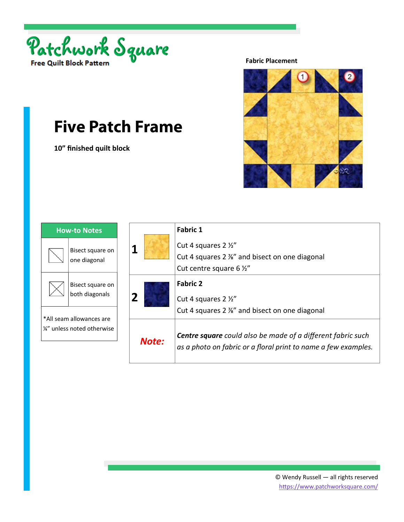

**10" finished quilt block** 



| <b>How-to Notes</b>                                     |                                    |
|---------------------------------------------------------|------------------------------------|
|                                                         | Bisect square on<br>one diagonal   |
|                                                         | Bisect square on<br>both diagonals |
| *All seam allowances are<br>1/4" unless noted otherwise |                                    |

|       | <b>Fabric 1</b>                                                                                                                      |
|-------|--------------------------------------------------------------------------------------------------------------------------------------|
|       | Cut 4 squares 2 1/2"                                                                                                                 |
|       | Cut 4 squares 2 %" and bisect on one diagonal                                                                                        |
|       | Cut centre square 6 1/2"                                                                                                             |
|       | <b>Fabric 2</b>                                                                                                                      |
| 2     | Cut 4 squares 2 1/2"                                                                                                                 |
|       | Cut 4 squares 2 %" and bisect on one diagonal                                                                                        |
| Note: | <b>Centre square</b> could also be made of a different fabric such<br>as a photo on fabric or a floral print to name a few examples. |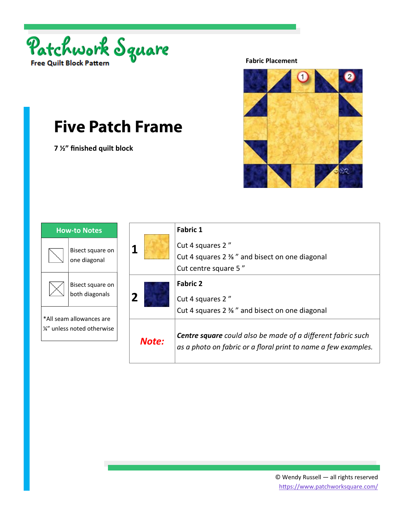

**7 ½" finished quilt block** 



| How-to Notes                                            |                                    |
|---------------------------------------------------------|------------------------------------|
|                                                         | Bisect square on<br>one diagonal   |
|                                                         | Bisect square on<br>both diagonals |
| *All seam allowances are<br>1/4" unless noted otherwise |                                    |

|       | <b>Fabric 1</b>                                                                                                                      |
|-------|--------------------------------------------------------------------------------------------------------------------------------------|
|       | Cut 4 squares 2"                                                                                                                     |
|       | Cut 4 squares 2 % " and bisect on one diagonal                                                                                       |
|       | Cut centre square 5"                                                                                                                 |
|       | <b>Fabric 2</b>                                                                                                                      |
| 2     | Cut 4 squares 2"                                                                                                                     |
|       | Cut 4 squares 2 % " and bisect on one diagonal                                                                                       |
| Note: | <b>Centre square</b> could also be made of a different fabric such<br>as a photo on fabric or a floral print to name a few examples. |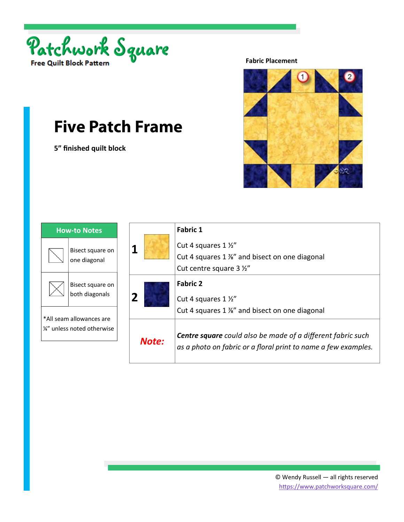

**5" finished quilt block** 



| <b>How-to Notes</b>                                     |                                    |
|---------------------------------------------------------|------------------------------------|
|                                                         | Bisect square on<br>one diagonal   |
|                                                         | Bisect square on<br>both diagonals |
| *All seam allowances are<br>1/2" unless noted otherwise |                                    |

|       | <b>Fabric 1</b>                                                                                                                      |
|-------|--------------------------------------------------------------------------------------------------------------------------------------|
| 1     | Cut 4 squares 1 1/2"                                                                                                                 |
|       | Cut 4 squares 1 %" and bisect on one diagonal                                                                                        |
|       | Cut centre square 3 1/2"                                                                                                             |
| 2     | <b>Fabric 2</b><br>Cut 4 squares 1 1/2"                                                                                              |
|       | Cut 4 squares 1 %" and bisect on one diagonal                                                                                        |
| Note: | <b>Centre square</b> could also be made of a different fabric such<br>as a photo on fabric or a floral print to name a few examples. |